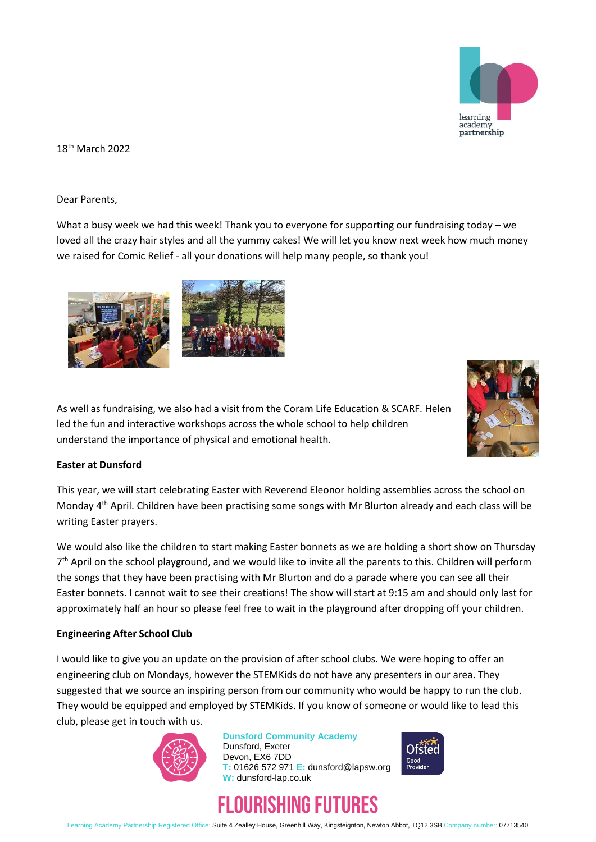

18th March 2022

Dear Parents,

What a busy week we had this week! Thank you to everyone for supporting our fundraising today – we loved all the crazy hair styles and all the yummy cakes! We will let you know next week how much money we raised for Comic Relief - all your donations will help many people, so thank you!



As well as fundraising, we also had a visit from the Coram Life Education & SCARF. Helen led the fun and interactive workshops across the whole school to help children understand the importance of physical and emotional health.



## **Easter at Dunsford**

This year, we will start celebrating Easter with Reverend Eleonor holding assemblies across the school on Monday  $4<sup>th</sup>$  April. Children have been practising some songs with Mr Blurton already and each class will be writing Easter prayers.

We would also like the children to start making Easter bonnets as we are holding a short show on Thursday 7<sup>th</sup> April on the school playground, and we would like to invite all the parents to this. Children will perform the songs that they have been practising with Mr Blurton and do a parade where you can see all their Easter bonnets. I cannot wait to see their creations! The show will start at 9:15 am and should only last for approximately half an hour so please feel free to wait in the playground after dropping off your children.

## **Engineering After School Club**

I would like to give you an update on the provision of after school clubs. We were hoping to offer an engineering club on Mondays, however the STEMKids do not have any presenters in our area. They suggested that we source an inspiring person from our community who would be happy to run the club. They would be equipped and employed by STEMKids. If you know of someone or would like to lead this club, please get in touch with us.



**Dunsford Community Academy** Dunsford, Exeter Devon, EX6 7DD **T:** 01626 572 971 **E:** dunsford@lapsw.org **W:** dunsford-lap.co.uk



## FLOURISHING FUTURES

Learning Academy Partnership Registered Office: Suite 4 Zealley House, Greenhill Way, Kingsteignton, Newton Abbot, TQ12 3SB Company number: 07713540